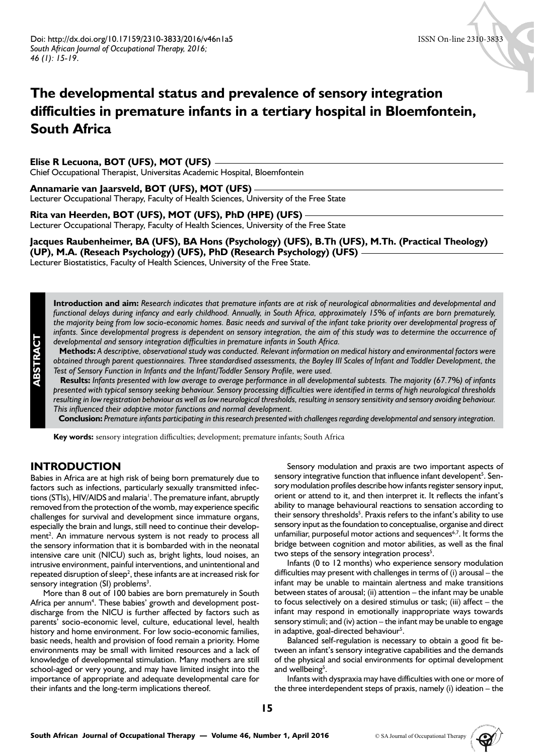# **The developmental status and prevalence of sensory integration difficulties in premature infants in a tertiary hospital in Bloemfontein, South Africa**

## **Elise R Lecuona, BOT (UFS), MOT (UFS)**

Chief Occupational Therapist, Universitas Academic Hospital, Bloemfontein

#### **Annamarie van Jaarsveld, BOT (UFS), MOT (UFS)**

Lecturer Occupational Therapy, Faculty of Health Sciences, University of the Free State

**Rita van Heerden, BOT (UFS), MOT (UFS), PhD (HPE) (UFS)** Lecturer Occupational Therapy, Faculty of Health Sciences, University of the Free State

## **Jacques Raubenheimer, BA (UFS), BA Hons (Psychology) (UFS), B.Th (UFS), M.Th. (Practical Theology) (UP), M.A. (Reseach Psychology) (UFS), PhD (Research Psychology) (UFS)**

Lecturer Biostatistics, Faculty of Health Sciences, University of the Free State.

**Introduction and aim:** *Research indicates that premature infants are at risk of neurological abnormalities and developmental and functional delays during infancy and early childhood. Annually, in South Africa, approximately 15% of infants are born prematurely, the majority being from low socio-economic homes. Basic needs and survival of the infant take priority over developmental progress of*  infants. Since developmental progress is dependent on sensory integration, the aim of this study was to determine the occurrence of *developmental and sensory integration difficulties in premature infants in South Africa.*

 **Methods:** *A descriptive, observational study was conducted. Relevant information on medical history and environmental factors were obtained through parent questionnaires. Three standardised assessments, the Bayley III Scales of Infant and Toddler Development, the Test of Sensory Function in Infants and the Infant/Toddler Sensory Profile, were used.*

 **Results:** *Infants presented with low average to average performance in all developmental subtests. The majority (67.7%) of infants presented with typical sensory seeking behaviour. Sensory processing difficulties were identified in terms of high neurological thresholds resulting in low registration behaviour as well as low neurological thresholds, resulting in sensory sensitivity and sensory avoiding behaviour. This influenced their adaptive motor functions and normal development.*

 **Conclusion:** *Premature infants participating in this research presented with challenges regarding developmental and sensory integration.*

**Key words:** sensory integration difficulties; development; premature infants; South Africa

## **INTRODUCTION**

**ABSTRACT**

Babies in Africa are at high risk of being born prematurely due to factors such as infections, particularly sexually transmitted infections (STIs), HIV/AIDS and malaria<sup>1</sup>. The premature infant, abruptly removed from the protection of the womb, may experience specific challenges for survival and development since immature organs, especially the brain and lungs, still need to continue their development<sup>2</sup>. An immature nervous system is not ready to process all the sensory information that it is bombarded with in the neonatal intensive care unit (NICU) such as, bright lights, loud noises, an intrusive environment, painful interventions, and unintentional and repeated disruption of sleep<sup>2</sup>, these infants are at increased risk for sensory integration (SI) problems<sup>3</sup>.

More than 8 out of 100 babies are born prematurely in South Africa per annum<sup>4</sup>. These babies' growth and development postdischarge from the NICU is further affected by factors such as parents' socio-economic level, culture, educational level, health history and home environment. For low socio-economic families, basic needs, health and provision of food remain a priority. Home environments may be small with limited resources and a lack of knowledge of developmental stimulation. Many mothers are still school-aged or very young, and may have limited insight into the importance of appropriate and adequate developmental care for their infants and the long-term implications thereof.

Sensory modulation and praxis are two important aspects of sensory integrative function that influence infant developent<sup>5</sup>. Sensory modulation profiles describe how infants register sensory input, orient or attend to it, and then interpret it. It reflects the infant's ability to manage behavioural reactions to sensation according to their sensory thresholds<sup>5</sup>. Praxis refers to the infant's ability to use sensory input as the foundation to conceptualise, organise and direct unfamiliar, purposeful motor actions and sequences<sup>6,7</sup>. It forms the bridge between cognition and motor abilities, as well as the final two steps of the sensory integration process<sup>5</sup>.

Infants (0 to 12 months) who experience sensory modulation difficulties may present with challenges in terms of (i) arousal – the infant may be unable to maintain alertness and make transitions between states of arousal; (ii) attention – the infant may be unable to focus selectively on a desired stimulus or task; (iii) affect – the infant may respond in emotionally inappropriate ways towards sensory stimuli; and (iv) action – the infant may be unable to engage in adaptive, goal-directed behaviour<sup>5</sup>.

Balanced self-regulation is necessary to obtain a good fit between an infant's sensory integrative capabilities and the demands of the physical and social environments for optimal development and wellbeing<sup>5</sup>.

Infants with dyspraxia may have difficulties with one or more of the three interdependent steps of praxis, namely (i) ideation – the

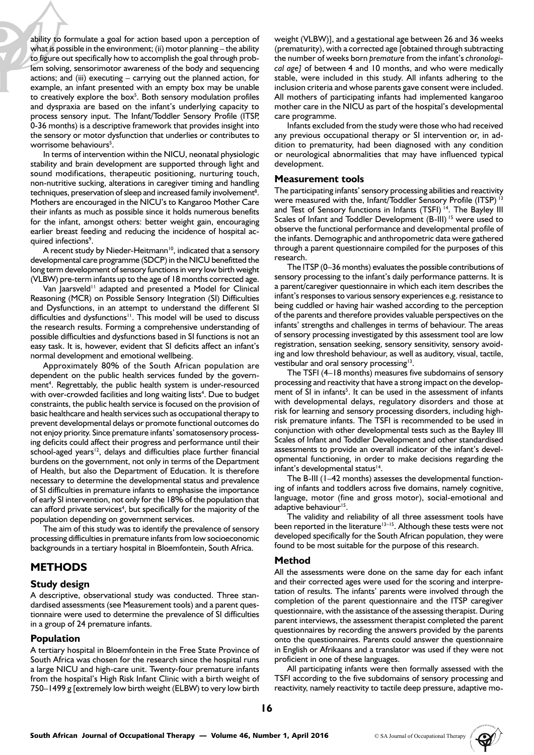ability to formulate a goal for action based upon a perception of what is possible in the environment; (ii) motor planning – the ability to figure out specifically how to accomplish the goal through problem solving, sensorimotor awareness of the body and sequencing actions; and (iii) executing – carrying out the planned action, for example, an infant presented with an empty box may be unable to creatively explore the box $<sup>5</sup>$ . Both sensory modulation profiles</sup> and dyspraxia are based on the infant's underlying capacity to process sensory input. The Infant/Toddler Sensory Profile (ITSP, 0-36 months) is a descriptive framework that provides insight into the sensory or motor dysfunction that underlies or contributes to worrisome behaviours<sup>5</sup>.

In terms of intervention within the NICU, neonatal physiologic stability and brain development are supported through light and sound modifications, therapeutic positioning, nurturing touch, non-nutritive sucking, alterations in caregiver timing and handling techniques, preservation of sleep and increased family involvement<sup>8</sup>. Mothers are encouraged in the NICU's to Kangaroo Mother Care their infants as much as possible since it holds numerous benefits for the infant, amongst others: better weight gain, encouraging earlier breast feeding and reducing the incidence of hospital acquired infections<sup>9</sup>.

A recent study by Nieder-Heitmann<sup>10</sup>, indicated that a sensory developmental care programme (SDCP) in the NICU benefitted the long term development of sensory functions in very low birth weight (VLBW) pre-term infants up to the age of 18 months corrected age.

Van Jaarsveld<sup>11</sup> adapted and presented a Model for Clinical Reasoning (MCR) on Possible Sensory Integration (SI) Difficulties and Dysfunctions, in an attempt to understand the different SI difficulties and dysfunctions<sup>11</sup>. This model will be used to discuss the research results. Forming a comprehensive understanding of possible difficulties and dysfunctions based in SI functions is not an easy task. It is, however, evident that SI deficits affect an infant's normal development and emotional wellbeing.

Approximately 80% of the South African population are dependent on the public health services funded by the government<sup>4</sup>. Regrettably, the public health system is under-resourced with over-crowded facilities and long waiting lists<sup>4</sup>. Due to budget constraints, the public health service is focused on the provision of basic healthcare and health services such as occupational therapy to prevent developmental delays or promote functional outcomes do not enjoy priority. Since premature infants' somatosensory processing deficits could affect their progress and performance until their school-aged years $12$ , delays and difficulties place further financial burdens on the government, not only in terms of the Department of Health, but also the Department of Education. It is therefore necessary to determine the developmental status and prevalence of SI difficulties in premature infants to emphasise the importance of early SI intervention, not only for the 18% of the population that can afford private services<sup>4</sup>, but specifically for the majority of the population depending on government services.

The aim of this study was to identify the prevalence of sensory processing difficulties in premature infants from low socioeconomic backgrounds in a tertiary hospital in Bloemfontein, South Africa.

## **METHODS**

## **Study design**

A descriptive, observational study was conducted. Three standardised assessments (see Measurement tools) and a parent questionnaire were used to determine the prevalence of SI difficulties in a group of 24 premature infants.

### **Population**

A tertiary hospital in Bloemfontein in the Free State Province of South Africa was chosen for the research since the hospital runs a large NICU and high-care unit. Twenty-four premature infants from the hospital's High Risk Infant Clinic with a birth weight of 750–1499 g [extremely low birth weight (ELBW) to very low birth

weight (VLBW)], and a gestational age between 26 and 36 weeks (prematurity), with a corrected age [obtained through subtracting the number of weeks born *premature* from the infant's *chronological age]* of between 4 and 10 months, and who were medically stable, were included in this study. All infants adhering to the inclusion criteria and whose parents gave consent were included. All mothers of participating infants had implemented kangaroo mother care in the NICU as part of the hospital's developmental care programme.

Infants excluded from the study were those who had received any previous occupational therapy or SI intervention or, in addition to prematurity, had been diagnosed with any condition or neurological abnormalities that may have influenced typical development.

#### **Measurement tools**

The participating infants' sensory processing abilities and reactivity were measured with the, Infant/Toddler Sensory Profile (ITSP)<sup>13</sup> and Test of Sensory functions in Infants (TSFI)<sup>14</sup>. The Bayley III Scales of Infant and Toddler Development (B-III)<sup>15</sup> were used to observe the functional performance and developmental profile of the infants. Demographic and anthropometric data were gathered through a parent questionnaire compiled for the purposes of this research.

The ITSP (0–36 months) evaluates the possible contributions of sensory processing to the infant's daily performance patterns. It is a parent/caregiver questionnaire in which each item describes the infant's responses to various sensory experiences e.g. resistance to being cuddled or having hair washed according to the perception of the parents and therefore provides valuable perspectives on the infants' strengths and challenges in terms of behaviour. The areas of sensory processing investigated by this assessment tool are low registration, sensation seeking, sensory sensitivity, sensory avoiding and low threshold behaviour, as well as auditory, visual, tactile, vestibular and oral sensory processing<sup>13</sup>.

The TSFI (4–18 months) measures five subdomains of sensory processing and reactivity that have a strong impact on the development of SI in infants<sup>5</sup>. It can be used in the assessment of infants with developmental delays, regulatory disorders and those at risk for learning and sensory processing disorders, including highrisk premature infants. The TSFI is recommended to be used in conjunction with other developmental tests such as the Bayley III Scales of Infant and Toddler Development and other standardised assessments to provide an overall indicator of the infant's developmental functioning, in order to make decisions regarding the infant's developmental status<sup>14</sup>.

The B-III (1–42 months) assesses the developmental functioning of infants and toddlers across five domains, namely cognitive, language, motor (fine and gross motor), social-emotional and adaptive behaviour<sup>15</sup>.

The validity and reliability of all three assessment tools have been reported in the literature<sup>13–15</sup>. Although these tests were not developed specifically for the South African population, they were found to be most suitable for the purpose of this research.

### **Method**

All the assessments were done on the same day for each infant and their corrected ages were used for the scoring and interpretation of results. The infants' parents were involved through the completion of the parent questionnaire and the ITSP caregiver questionnaire, with the assistance of the assessing therapist. During parent interviews, the assessment therapist completed the parent questionnaires by recording the answers provided by the parents onto the questionnaires. Parents could answer the questionnaire in English or Afrikaans and a translator was used if they were not proficient in one of these languages.

All participating infants were then formally assessed with the TSFI according to the five subdomains of sensory processing and reactivity, namely reactivity to tactile deep pressure, adaptive mo-

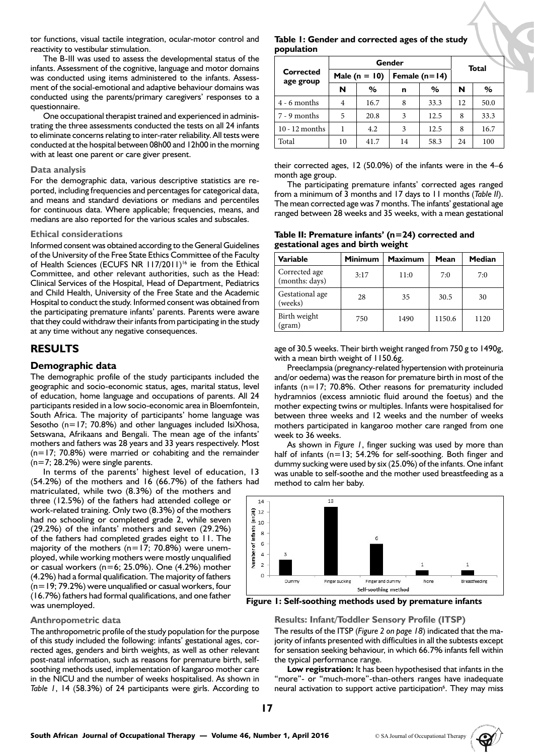tor functions, visual tactile integration, ocular-motor control and reactivity to vestibular stimulation.

The B-III was used to assess the developmental status of the infants. Assessment of the cognitive, language and motor domains was conducted using items administered to the infants. Assessment of the social-emotional and adaptive behaviour domains was conducted using the parents/primary caregivers' responses to a questionnaire.

One occupational therapist trained and experienced in administrating the three assessments conducted the tests on all 24 infants to eliminate concerns relating to inter-rater reliability. All tests were conducted at the hospital between 08h00 and 12h00 in the morning with at least one parent or care giver present.

#### **Data analysis**

For the demographic data, various descriptive statistics are reported, including frequencies and percentages for categorical data, and means and standard deviations or medians and percentiles for continuous data. Where applicable; frequencies, means, and medians are also reported for the various scales and subscales.

#### **Ethical considerations**

Informed consent was obtained according to the General Guidelines of the University of the Free State Ethics Committee of the Faculty of Health Sciences (ECUFS NR 117/2011)<sup>16</sup> ie from the Ethical Committee, and other relevant authorities, such as the Head: Clinical Services of the Hospital, Head of Department, Pediatrics and Child Health, University of the Free State and the Academic Hospital to conduct the study. Informed consent was obtained from the participating premature infants' parents. Parents were aware that they could withdraw their infants from participating in the study at any time without any negative consequences.

## **RESULTS**

### **Demographic data**

The demographic profile of the study participants included the geographic and socio-economic status, ages, marital status, level of education, home language and occupations of parents. All 24 participants resided in a low socio-economic area in Bloemfontein, South Africa. The majority of participants' home language was Sesotho ( $n=17$ ; 70.8%) and other languages included IsiXhosa, Setswana, Afrikaans and Bengali. The mean age of the infants' mothers and fathers was 28 years and 33 years respectively. Most  $(n=17; 70.8%)$  were married or cohabiting and the remainder  $(n=7; 28.2%)$  were single parents.

In terms of the parents' highest level of education, 13 (54.2%) of the mothers and 16 (66.7%) of the fathers had

matriculated, while two (8.3%) of the mothers and three (12.5%) of the fathers had attended college or work-related training. Only two (8.3%) of the mothers had no schooling or completed grade 2, while seven (29.2%) of the infants' mothers and seven (29.2%) of the fathers had completed grades eight to 11. The majority of the mothers ( $n=17$ ; 70.8%) were unemployed, while working mothers were mostly unqualified or casual workers ( $n=6$ ; 25.0%). One (4.2%) mother (4.2%) had a formal qualification. The majority of fathers  $(n=19; 79.2%)$  were unqualified or casual workers, four (16.7%) fathers had formal qualifications, and one father was unemployed.

#### **Anthropometric data**

The anthropometric profile of the study population for the purpose of this study included the following: infants' gestational ages, corrected ages, genders and birth weights, as well as other relevant post-natal information, such as reasons for premature birth, selfsoothing methods used, implementation of kangaroo mother care in the NICU and the number of weeks hospitalised. As shown in *Table 1*, 14 (58.3%) of 24 participants were girls. According to

## **Table 1: Gender and corrected ages of the study population**

| Corrected<br>age group | Gender            |      |                 |      |    | <b>Total</b> |  |
|------------------------|-------------------|------|-----------------|------|----|--------------|--|
|                        | Male ( $n = 10$ ) |      | Female $(n=14)$ |      |    |              |  |
|                        | N                 | ℅    | n               | %    | N  | %            |  |
| $4 - 6$ months         | 4                 | 16.7 | 8               | 33.3 | 12 | 50.0         |  |
| $7 - 9$ months         | 5                 | 20.8 | 3               | 12.5 | 8  | 33.3         |  |
| $10 - 12$ months       |                   | 4.2  | 3               | 12.5 | 8  | 16.7         |  |
| Total                  | 10                | 41.7 | 14              | 58.3 | 24 | 100          |  |

their corrected ages, 12 (50.0%) of the infants were in the 4–6 month age group.

The participating premature infants' corrected ages ranged from a minimum of 3 months and 17 days to 11 months (*Table II*). The mean corrected age was 7 months. The infants' gestational age ranged between 28 weeks and 35 weeks, with a mean gestational

**Table II: Premature infants' (n=24) corrected and gestational ages and birth weight**

| Variable                        | <b>Minimum</b> | <b>Maximum</b> | Mean   | Median |
|---------------------------------|----------------|----------------|--------|--------|
| Corrected age<br>(months: days) | 3:17           | 11:0           | 7:0    | 7:0    |
| Gestational age<br>(weeks)      | 28             | 35             | 30.5   | 30     |
| Birth weight<br>(gram)          | 750            | 1490           | 1150.6 | 1120   |

age of 30.5 weeks. Their birth weight ranged from 750 g to 1490g, with a mean birth weight of 1150.6g.

Preeclampsia (pregnancy-related hypertension with proteinuria and/or oedema) was the reason for premature birth in most of the infants (n=17; 70.8%. Other reasons for prematurity included hydramnios (excess amniotic fluid around the foetus) and the mother expecting twins or multiples. Infants were hospitalised for between three weeks and 12 weeks and the number of weeks mothers participated in kangaroo mother care ranged from one week to 36 weeks.

As shown in *Figure 1*, finger sucking was used by more than half of infants (n=13; 54.2% for self-soothing. Both finger and dummy sucking were used by six (25.0%) of the infants. One infant was unable to self-soothe and the mother used breastfeeding as a method to calm her baby.



**Figure 1: Self-soothing methods used by premature infants**

#### **Results: Infant/Toddler Sensory Profile (ITSP)**

The results of the ITSP (*Figure 2 on page 18*) indicated that the majority of infants presented with difficulties in all the subtests except for sensation seeking behaviour, in which 66.7% infants fell within the typical performance range.

**Low registration:** It has been hypothesised that infants in the "more"- or "much-more"-than-others ranges have inadequate neural activation to support active participation<sup>6</sup>. They may miss

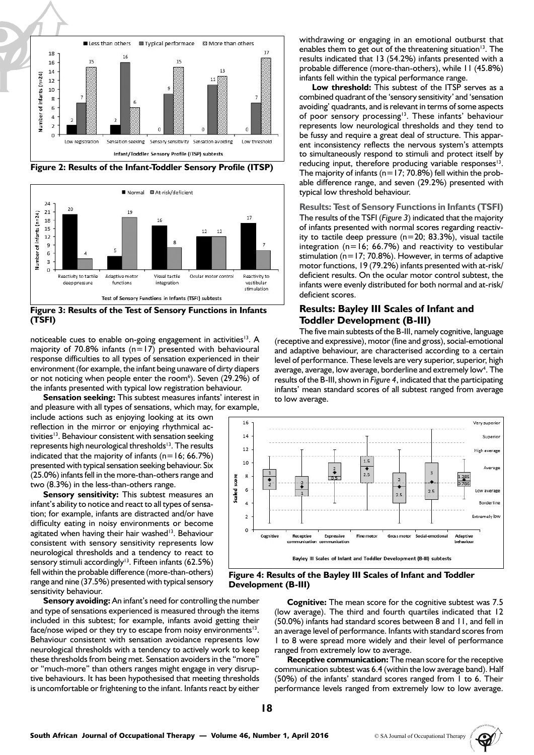

**Figure 2: Results of the Infant-Toddler Sensory Profile (ITSP)**



**Figure 3: Results of the Test of Sensory Functions in Infants (TSFI)**

noticeable cues to enable on-going engagement in activities<sup>13</sup>. A majority of 70.8% infants ( $n=17$ ) presented with behavioural response difficulties to all types of sensation experienced in their environment (for example, the infant being unaware of dirty diapers or not noticing when people enter the room<sup>6</sup>). Seven (29.2%) of the infants presented with typical low registration behaviour.

**Sensation seeking:** This subtest measures infants' interest in and pleasure with all types of sensations, which may, for example,

include actions such as enjoying looking at its own reflection in the mirror or enjoying rhythmical activities<sup>13</sup>. Behaviour consistent with sensation seeking represents high neurological thresholds<sup>13</sup>. The results indicated that the majority of infants ( $n=16$ ; 66.7%) presented with typical sensation seeking behaviour. Six (25.0%) infants fell in the more-than-others range and two (8.3%) in the less-than-others range.

**Sensory sensitivity:** This subtest measures an infant's ability to notice and react to all types of sensation; for example, infants are distracted and/or have difficulty eating in noisy environments or become agitated when having their hair washed<sup>13</sup>. Behaviour consistent with sensory sensitivity represents low neurological thresholds and a tendency to react to sensory stimuli accordingly<sup>13</sup>. Fifteen infants (62.5%) fell within the probable difference (more-than-others) range and nine (37.5%) presented with typical sensory sensitivity behaviour.

**Sensory avoiding:** An infant's need for controlling the number and type of sensations experienced is measured through the items included in this subtest; for example, infants avoid getting their face/nose wiped or they try to escape from noisy environments $13$ . Behaviour consistent with sensation avoidance represents low neurological thresholds with a tendency to actively work to keep these thresholds from being met. Sensation avoiders in the "more" or "much-more" than others ranges might engage in very disruptive behaviours. It has been hypothesised that meeting thresholds is uncomfortable or frightening to the infant. Infants react by either

withdrawing or engaging in an emotional outburst that enables them to get out of the threatening situation<sup>13</sup>. The results indicated that 13 (54.2%) infants presented with a probable difference (more-than-others), while 11 (45.8%) infants fell within the typical performance range.

**Low threshold:** This subtest of the ITSP serves as a combined quadrant of the 'sensory sensitivity' and 'sensation avoiding' quadrants, and is relevant in terms of some aspects of poor sensory processing<sup>13</sup>. These infants' behaviour represents low neurological thresholds and they tend to be fussy and require a great deal of structure. This apparent inconsistency reflects the nervous system's attempts to simultaneously respond to stimuli and protect itself by reducing input, therefore producing variable responses $13$ . The majority of infants ( $n=17$ ; 70.8%) fell within the probable difference range, and seven (29.2%) presented with typical low threshold behaviour.

**Results: Test of Sensory Functions in Infants (TSFI)** The results of the TSFI (*Figure 3*) indicated that the majority of infants presented with normal scores regarding reactivity to tactile deep pressure (n=20; 83.3%), visual tactile integration ( $n=16$ ; 66.7%) and reactivity to vestibular stimulation (n=17; 70.8%). However, in terms of adaptive motor functions, 19 (79.2%) infants presented with at-risk/ deficient results. On the ocular motor control subtest, the infants were evenly distributed for both normal and at-risk/ deficient scores.

## **Results: Bayley III Scales of Infant and Toddler Development (B-III)**

The five main subtests of the B-III, namely cognitive, language (receptive and expressive), motor (fine and gross), social-emotional and adaptive behaviour, are characterised according to a certain level of performance. These levels are very superior, superior, high average, average, low average, borderline and extremely low<sup>4</sup>. The results of the B-III, shown in *Figure 4*, indicated that the participating infants' mean standard scores of all subtest ranged from average to low average.



#### **Figure 4: Results of the Bayley III Scales of Infant and Toddler Development (B-III)**

**Cognitive:** The mean score for the cognitive subtest was 7.5 (low average). The third and fourth quartiles indicated that 12 (50.0%) infants had standard scores between 8 and 11, and fell in an average level of performance. Infants with standard scores from 1 to 8 were spread more widely and their level of performance ranged from extremely low to average.

**Receptive communication:** The mean score for the receptive communication subtest was 6.4 (within the low average band). Half (50%) of the infants' standard scores ranged from 1 to 6. Their performance levels ranged from extremely low to low average.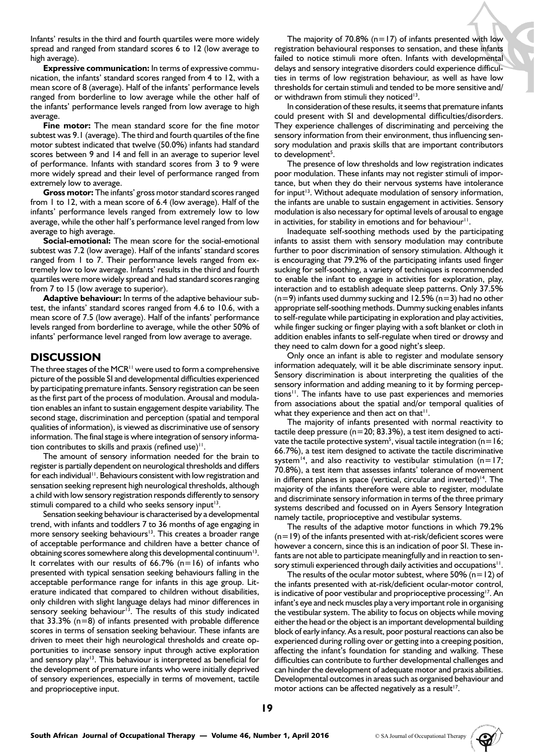Infants' results in the third and fourth quartiles were more widely spread and ranged from standard scores 6 to 12 (low average to high average).

**Expressive communication:** In terms of expressive communication, the infants' standard scores ranged from 4 to 12, with a mean score of 8 (average). Half of the infants' performance levels ranged from borderline to low average while the other half of the infants' performance levels ranged from low average to high average.

**Fine motor:** The mean standard score for the fine motor subtest was 9.1 (average). The third and fourth quartiles of the fine motor subtest indicated that twelve (50.0%) infants had standard scores between 9 and 14 and fell in an average to superior level of performance. Infants with standard scores from 3 to 9 were more widely spread and their level of performance ranged from extremely low to average.

**Gross motor:** The infants' gross motor standard scores ranged from 1 to 12, with a mean score of 6.4 (low average). Half of the infants' performance levels ranged from extremely low to low average, while the other half's performance level ranged from low average to high average.

**Social-emotional:** The mean score for the social-emotional subtest was 7.2 (low average). Half of the infants' standard scores ranged from 1 to 7. Their performance levels ranged from extremely low to low average. Infants' results in the third and fourth quartiles were more widely spread and had standard scores ranging from 7 to 15 (low average to superior).

**Adaptive behaviour:** In terms of the adaptive behaviour subtest, the infants' standard scores ranged from 4.6 to 10.6, with a mean score of 7.5 (low average). Half of the infants' performance levels ranged from borderline to average, while the other 50% of infants' performance level ranged from low average to average.

## **DISCUSSION**

The three stages of the MCR $<sup>11</sup>$  were used to form a comprehensive</sup> picture of the possible SI and developmental difficulties experienced by participating premature infants. Sensory registration can be seen as the first part of the process of modulation. Arousal and modulation enables an infant to sustain engagement despite variability. The second stage, discrimination and perception (spatial and temporal qualities of information), is viewed as discriminative use of sensory information. The final stage is where integration of sensory information contributes to skills and praxis (refined use) $\mathbf{1}$ .

The amount of sensory information needed for the brain to register is partially dependent on neurological thresholds and differs for each individual<sup>11</sup>. Behaviours consistent with low registration and sensation seeking represent high neurological thresholds, although a child with low sensory registration responds differently to sensory stimuli compared to a child who seeks sensory input<sup>13</sup>.

Sensation seeking behaviour is characterised by a developmental trend, with infants and toddlers 7 to 36 months of age engaging in more sensory seeking behaviours<sup>13</sup>. This creates a broader range of acceptable performance and children have a better chance of obtaining scores somewhere along this developmental continuum<sup>13</sup>. It correlates with our results of  $66.7\%$  (n=16) of infants who presented with typical sensation seeking behaviours falling in the acceptable performance range for infants in this age group. Literature indicated that compared to children without disabilities, only children with slight language delays had minor differences in sensory seeking behaviour<sup>13</sup>. The results of this study indicated that  $33.3\%$  (n=8) of infants presented with probable difference scores in terms of sensation seeking behaviour. These infants are driven to meet their high neurological thresholds and create opportunities to increase sensory input through active exploration and sensory play<sup>13</sup>. This behaviour is interpreted as beneficial for the development of premature infants who were initially deprived of sensory experiences, especially in terms of movement, tactile and proprioceptive input.

The majority of 70.8%  $(n=17)$  of infants presented with low registration behavioural responses to sensation, and these infants failed to notice stimuli more often. Infants with developmental delays and sensory integrative disorders could experience difficulties in terms of low registration behaviour, as well as have low thresholds for certain stimuli and tended to be more sensitive and/ or withdrawn from stimuli they noticed<sup>13</sup>.

In consideration of these results, it seems that premature infants could present with SI and developmental difficulties/disorders. They experience challenges of discriminating and perceiving the sensory information from their environment, thus influencing sensory modulation and praxis skills that are important contributors to development<sup>5</sup>.

The presence of low thresholds and low registration indicates poor modulation. These infants may not register stimuli of importance, but when they do their nervous systems have intolerance for input<sup>13</sup>. Without adequate modulation of sensory information, the infants are unable to sustain engagement in activities. Sensory modulation is also necessary for optimal levels of arousal to engage in activities, for stability in emotions and for behaviour<sup>11</sup>.

Inadequate self-soothing methods used by the participating infants to assist them with sensory modulation may contribute further to poor discrimination of sensory stimulation. Although it is encouraging that 79.2% of the participating infants used finger sucking for self-soothing, a variety of techniques is recommended to enable the infant to engage in activities for exploration, play, interaction and to establish adequate sleep patterns. Only 37.5%  $(n=9)$  infants used dummy sucking and 12.5%  $(n=3)$  had no other appropriate self-soothing methods. Dummy sucking enables infants to self-regulate while participating in exploration and play activities, while finger sucking or finger playing with a soft blanket or cloth in addition enables infants to self-regulate when tired or drowsy and they need to calm down for a good night's sleep.

Only once an infant is able to register and modulate sensory information adequately, will it be able discriminate sensory input. Sensory discrimination is about interpreting the qualities of the sensory information and adding meaning to it by forming perceptions<sup>11</sup>. The infants have to use past experiences and memories from associations about the spatial and/or temporal qualities of what they experience and then act on that $11$ .

The majority of infants presented with normal reactivity to tactile deep pressure ( $n=20$ ; 83.3%), a test item designed to activate the tactile protective system<sup>5</sup>, visual tactile integration ( $n=16$ ; 66.7%), a test item designed to activate the tactile discriminative system<sup>14</sup>, and also reactivity to vestibular stimulation (n=17; 70.8%), a test item that assesses infants' tolerance of movement in different planes in space (vertical, circular and inverted)<sup>14</sup>. The majority of the infants therefore were able to register, modulate and discriminate sensory information in terms of the three primary systems described and focussed on in Ayers Sensory Integration namely tactile, proprioceptive and vestibular systems.

The results of the adaptive motor functions in which 79.2% (n=19) of the infants presented with at-risk/deficient scores were however a concern, since this is an indication of poor SI. These infants are not able to participate meaningfully and in reaction to sensory stimuli experienced through daily activities and occupations<sup>11</sup>.

The results of the ocular motor subtest, where 50% ( $n=12$ ) of the infants presented with at-risk/deficient ocular-motor control, is indicative of poor vestibular and proprioceptive processing<sup>17</sup>. An infant's eye and neck muscles play a very important role in organising the vestibular system. The ability to focus on objects while moving either the head or the object is an important developmental building block of early infancy. As a result, poor postural reactions can also be experienced during rolling over or getting into a creeping position, affecting the infant's foundation for standing and walking. These difficulties can contribute to further developmental challenges and can hinder the development of adequate motor and praxis abilities. Developmental outcomes in areas such as organised behaviour and motor actions can be affected negatively as a result<sup>17</sup>.